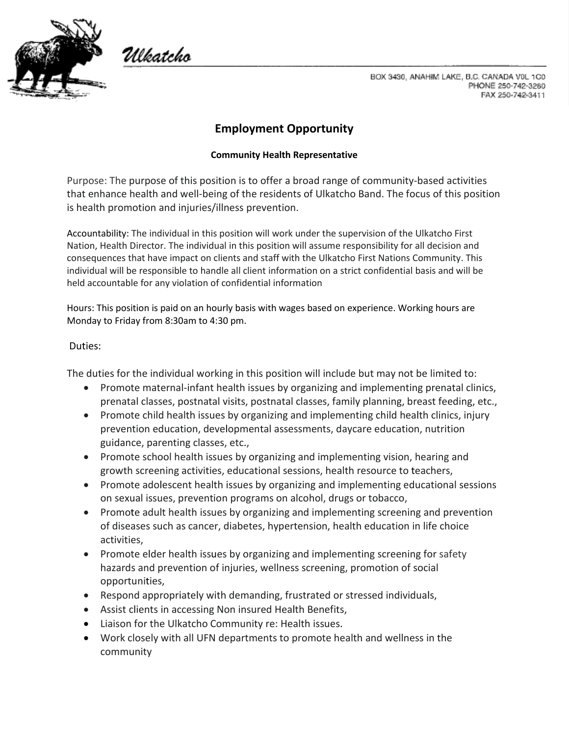

Włkatcho

BOX 3430, ANAHIM LAKE, B.C. CANADA V0L 1C0 PHONE 250-742-3260 FAX 250-742-3411

## **Employment Opportunity**

## **Community Health Representative**

Purpose: The purpose of this position is to offer a broad range of community-based activities that enhance health and well-being of the residents of Ulkatcho Band. The focus of this position is health promotion and injuries/illness prevention.

Accountability: The individual in this position will work under the supervision of the Ulkatcho First Nation, Health Director. The individual in this position will assume responsibility for all decision and consequences that have impact on clients and staff with the Ulkatcho First Nations Community. This individual will be responsible to handle all client information on a strict confidential basis and will be held accountable for any violation of confidential information

Hours: This position is paid on an hourly basis with wages based on experience. Working hours are Monday to Friday from 8:30am to 4:30 pm.

## Duties:

The duties for the individual working in this position will include but may not be limited to:

- Promote maternal-infant health issues by organizing and implementing prenatal clinics, prenatal classes, postnatal visits, postnatal classes, family planning, breast feeding, etc.,
- Promote child health issues by organizing and implementing child health clinics, injury prevention education, developmental assessments, daycare education, nutrition guidance, parenting classes, etc.,
- Promote school health issues by organizing and implementing vision, hearing and growth screening activities, educational sessions, health resource to teachers,
- Promote adolescent health issues by organizing and implementing educational sessions on sexual issues, prevention programs on alcohol, drugs or tobacco,
- Promote adult health issues by organizing and implementing screening and prevention of diseases such as cancer, diabetes, hypertension, health education in life choice activities,
- Promote elder health issues by organizing and implementing screening for safety hazards and prevention of injuries, wellness screening, promotion of social opportunities,
- Respond appropriately with demanding, frustrated or stressed individuals,
- Assist clients in accessing Non insured Health Benefits,
- Liaison for the Ulkatcho Community re: Health issues.
- Work closely with all UFN departments to promote health and wellness in the community